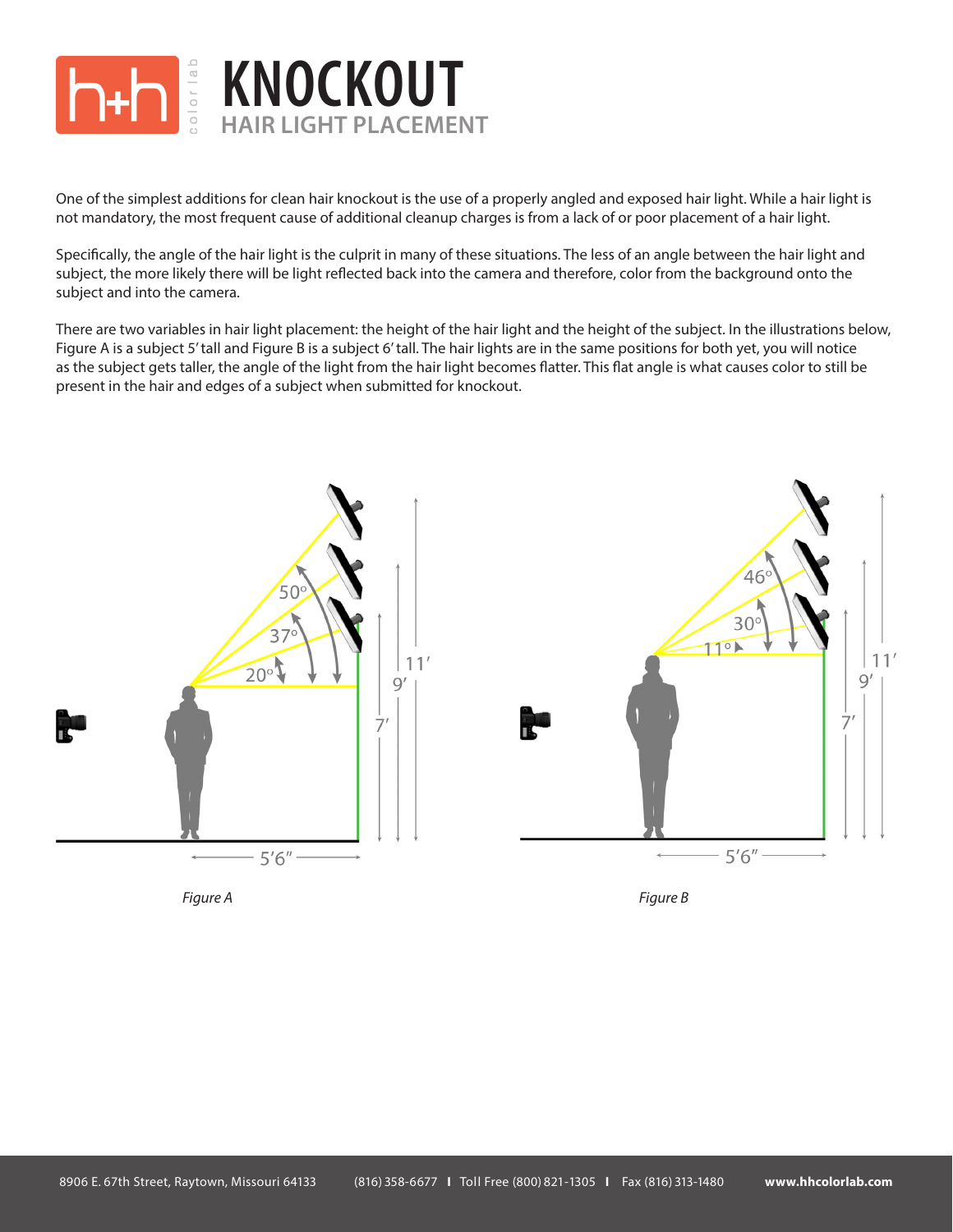

One of the simplest additions for clean hair knockout is the use of a properly angled and exposed hair light. While a hair light is not mandatory, the most frequent cause of additional cleanup charges is from a lack of or poor placement of a hair light.

Specifically, the angle of the hair light is the culprit in many of these situations. The less of an angle between the hair light and subject, the more likely there will be light reflected back into the camera and therefore, color from the background onto the subject and into the camera.

There are two variables in hair light placement: the height of the hair light and the height of the subject. In the illustrations below, Figure A is a subject 5' tall and Figure B is a subject 6' tall. The hair lights are in the same positions for both yet, you will notice as the subject gets taller, the angle of the light from the hair light becomes flatter. This flat angle is what causes color to still be present in the hair and edges of a subject when submitted for knockout.